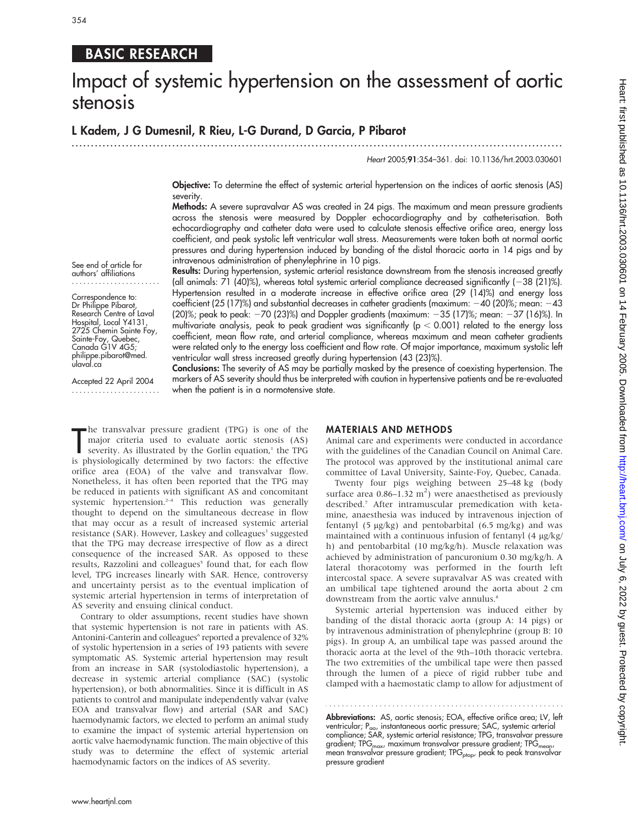# BASIC RESEARCH

# Impact of systemic hypertension on the assessment of aortic stenosis

# L Kadem, J G Dumesnil, R Rieu, L-G Durand, D Garcia, P Pibarot

...............................................................................................................................

Heart 2005;91:354–361. doi: 10.1136/hrt.2003.030601

Objective: To determine the effect of systemic arterial hypertension on the indices of aortic stenosis (AS) severity.

Methods: A severe supravalvar AS was created in 24 pigs. The maximum and mean pressure gradients across the stenosis were measured by Doppler echocardiography and by catheterisation. Both echocardiography and catheter data were used to calculate stenosis effective orifice area, energy loss coefficient, and peak systolic left ventricular wall stress. Measurements were taken both at normal aortic pressures and during hypertension induced by banding of the distal thoracic aorta in 14 pigs and by intravenous administration of phenylephrine in 10 pigs.

Results: During hypertension, systemic arterial resistance downstream from the stenosis increased greatly (all animals: 71 (40)%), whereas total systemic arterial compliance decreased significantly  $(-38 \tbinom{21}{8})$ .

See end of article for authors' affiliations .......................

Correspondence to: Dr Philippe Pibarot, Research Centre of Laval Hospital, Local Y4131, 2725 Chemin Sainte Foy, Sainte-Foy, Quebec, Canada G1V 4G5; philippe.pibarot@med. ulaval.ca

Accepted 22 April 2004 ....................... Hypertension resulted in a moderate increase in effective orifice area (29 (14)%) and energy loss coefficient (25 (17)%) and substantial decreases in catheter gradients (maximum:  $-40$  (20)%; mean:  $-43$ (20)%; peak to peak: -70 (23)%) and Doppler gradients (maximum: -35 (17)%; mean: -37 (16)%). In multivariate analysis, peak to peak gradient was significantly ( $p < 0.001$ ) related to the energy loss coefficient, mean flow rate, and arterial compliance, whereas maximum and mean catheter gradients were related only to the energy loss coefficient and flow rate. Of major importance, maximum systolic left ventricular wall stress increased greatly during hypertension (43 (23)%).

**Conclusions:** The severity of AS may be partially masked by the presence of coexisting hypertension. The markers of AS severity should thus be interpreted with caution in hypertensive patients and be re-evaluated when the patient is in a normotensive state.

The transvalvar pressure gradient (1PG) is one of the major criteria used to evaluate aortic stenosis (AS) severity. As illustrated by the Gorlin equation,<sup>1</sup> the TPG is physiologically determined by two factors: the effec he transvalvar pressure gradient (TPG) is one of the major criteria used to evaluate aortic stenosis (AS) severity. As illustrated by the Gorlin equation, $<sup>1</sup>$  the TPG</sup> orifice area (EOA) of the valve and transvalvar flow. Nonetheless, it has often been reported that the TPG may be reduced in patients with significant AS and concomitant systemic hypertension.<sup>2-4</sup> This reduction was generally thought to depend on the simultaneous decrease in flow that may occur as a result of increased systemic arterial resistance (SAR). However, Laskey and colleagues<sup>3</sup> suggested that the TPG may decrease irrespective of flow as a direct consequence of the increased SAR. As opposed to these results, Razzolini and colleagues<sup>5</sup> found that, for each flow level, TPG increases linearly with SAR. Hence, controversy and uncertainty persist as to the eventual implication of systemic arterial hypertension in terms of interpretation of AS severity and ensuing clinical conduct.

Contrary to older assumptions, recent studies have shown that systemic hypertension is not rare in patients with AS. Antonini-Canterin and colleagues<sup>6</sup> reported a prevalence of 32% of systolic hypertension in a series of 193 patients with severe symptomatic AS. Systemic arterial hypertension may result from an increase in SAR (systolodiastolic hypertension), a decrease in systemic arterial compliance (SAC) (systolic hypertension), or both abnormalities. Since it is difficult in AS patients to control and manipulate independently valvar (valve EOA and transvalvar flow) and arterial (SAR and SAC) haemodynamic factors, we elected to perform an animal study to examine the impact of systemic arterial hypertension on aortic valve haemodynamic function. The main objective of this study was to determine the effect of systemic arterial haemodynamic factors on the indices of AS severity.

# MATERIALS AND METHODS

Animal care and experiments were conducted in accordance with the guidelines of the Canadian Council on Animal Care. The protocol was approved by the institutional animal care committee of Laval University, Sainte-Foy, Quebec, Canada.

Twenty four pigs weighing between 25–48 kg (body surface area  $0.86 - 1.32$  m<sup>2</sup>) were anaesthetised as previously described.7 After intramuscular premedication with ketamine, anaesthesia was induced by intravenous injection of fentanyl (5  $\mu$ g/kg) and pentobarbital (6.5 mg/kg) and was maintained with a continuous infusion of fentanyl  $(4 \mu g/kg)$ h) and pentobarbital (10 mg/kg/h). Muscle relaxation was achieved by administration of pancuronium 0.30 mg/kg/h. A lateral thoracotomy was performed in the fourth left intercostal space. A severe supravalvar AS was created with an umbilical tape tightened around the aorta about 2 cm downstream from the aortic valve annulus.<sup>8</sup>

Systemic arterial hypertension was induced either by banding of the distal thoracic aorta (group A: 14 pigs) or by intravenous administration of phenylephrine (group B: 10 pigs). In group A, an umbilical tape was passed around the thoracic aorta at the level of the 9th–10th thoracic vertebra. The two extremities of the umbilical tape were then passed through the lumen of a piece of rigid rubber tube and clamped with a haemostatic clamp to allow for adjustment of

Abbreviations: AS, aortic stenosis; EOA, effective orifice area; LV, left ventricular; P<sub>ao</sub>, instantaneous aortic pressure; SAC, systemic arterial compliance; SAR, systemic arterial resistance; TPG, transvalvar pressure gradient; TPG<sub>max</sub>, maximum transvalvar pressure gradient; TPG<sub>mear</sub> mean transvalvar pressure gradient; TPG<sub>ptop</sub>, peak to peak transvalvar pressure gradient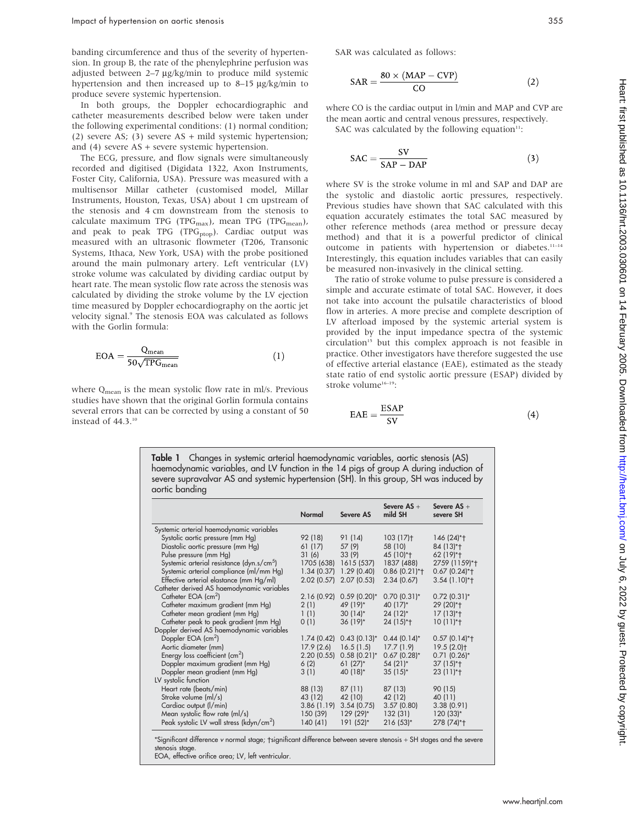banding circumference and thus of the severity of hypertension. In group B, the rate of the phenylephrine perfusion was adjusted between  $2-7 \mu$ g/kg/min to produce mild systemic hypertension and then increased up to 8–15  $\mu$ g/kg/min to produce severe systemic hypertension.

In both groups, the Doppler echocardiographic and catheter measurements described below were taken under the following experimental conditions: (1) normal condition; (2) severe AS; (3) severe AS + mild systemic hypertension; and (4) severe AS + severe systemic hypertension.

The ECG, pressure, and flow signals were simultaneously recorded and digitised (Digidata 1322, Axon Instruments, Foster City, California, USA). Pressure was measured with a multisensor Millar catheter (customised model, Millar Instruments, Houston, Texas, USA) about 1 cm upstream of the stenosis and 4 cm downstream from the stenosis to calculate maximum TPG (TPG $_{\text{max}}$ ), mean TPG (TPG $_{\text{mean}}$ ), and peak to peak TPG (TPG<sub>ptop</sub>). Cardiac output was measured with an ultrasonic flowmeter (T206, Transonic Systems, Ithaca, New York, USA) with the probe positioned around the main pulmonary artery. Left ventricular (LV) stroke volume was calculated by dividing cardiac output by heart rate. The mean systolic flow rate across the stenosis was calculated by dividing the stroke volume by the LV ejection time measured by Doppler echocardiography on the aortic jet velocity signal.9 The stenosis EOA was calculated as follows with the Gorlin formula:

$$
EOA = \frac{Q_{mean}}{50\sqrt{TPG_{mean}}}
$$
 (1)

where  $Q_{mean}$  is the mean systolic flow rate in ml/s. Previous studies have shown that the original Gorlin formula contains several errors that can be corrected by using a constant of 50 instead of  $44.3.^{10}$ 

SAR was calculated as follows:

$$
SAR = \frac{80 \times (MAP - CVP)}{CO}
$$
 (2)

where CO is the cardiac output in l/min and MAP and CVP are the mean aortic and central venous pressures, respectively.

SAC was calculated by the following equation $11$ :

$$
SAC = \frac{SV}{SAP - DAP}
$$
 (3)

where SV is the stroke volume in ml and SAP and DAP are the systolic and diastolic aortic pressures, respectively. Previous studies have shown that SAC calculated with this equation accurately estimates the total SAC measured by other reference methods (area method or pressure decay method) and that it is a powerful predictor of clinical outcome in patients with hypertension or diabetes.<sup>11-14</sup> Interestingly, this equation includes variables that can easily be measured non-invasively in the clinical setting.

The ratio of stroke volume to pulse pressure is considered a simple and accurate estimate of total SAC. However, it does not take into account the pulsatile characteristics of blood flow in arteries. A more precise and complete description of LV afterload imposed by the systemic arterial system is provided by the input impedance spectra of the systemic circulation<sup>15</sup> but this complex approach is not feasible in practice. Other investigators have therefore suggested the use of effective arterial elastance (EAE), estimated as the steady state ratio of end systolic aortic pressure (ESAP) divided by stroke volume<sup>16-19</sup>:

$$
EAE = \frac{ESAP}{SV}
$$
 (4)

Table 1 Changes in systemic arterial haemodynamic variables, aortic stenosis (AS) haemodynamic variables, and LV function in the 14 pigs of group A during induction of severe supravalvar AS and systemic hypertension (SH). In this group, SH was induced by aortic banding

|                                                       | Normal     | Severe AS      | Severe $AS +$<br>mild SH | Severe $AS +$<br>severe SH     |
|-------------------------------------------------------|------------|----------------|--------------------------|--------------------------------|
| Systemic arterial haemodynamic variables              |            |                |                          |                                |
| Systolic aortic pressure (mm Hg)                      | 92 (18)    | 91 (14)        | $103(17)$ <sup>+</sup>   | $146(24)*+$                    |
| Diastolic aortic pressure (mm Hg)                     | 61 (17)    | 57 (9)         | 58 (10)                  | 84 (13)*+                      |
| Pulse pressure (mm Hg)                                | 31(6)      | 33(9)          | 45 (10)*+                | $62(19)*+$                     |
| Systemic arterial resistance (dyn.s/cm <sup>3</sup> ) | 1705 (638) | 1615 (537)     | 1837 (488)               | 2759 (1159)*+                  |
| Systemic arterial compliance (ml/mm Hg)               | 1.34(0.37) | 1.29(0.40)     | $0.86(0.21)*$            | $0.67$ $(0.24)$ <sup>*</sup> t |
| Effective arterial elastance (mm Hg/ml)               | 2.02(0.57) | 2.07(0.53)     | 2.34(0.67)               | $3.54$ (1.10)*+                |
| Catheter derived AS haemodynamic variables            |            |                |                          |                                |
| Catheter EOA (cm <sup>2</sup> )                       | 2.16(0.92) | $0.59$ (0.20)* | $0.70(0.31)^{*}$         | $0.72$ (0.31)*                 |
| Catheter maximum gradient (mm Hg)                     | 2(1)       | 49 (19)*       | 40 $(17)^*$              | 29 (20)*+                      |
| Catheter mean gradient (mm Hg)                        | 1(1)       | 30 $(14)^*$    | $24(12)^{*}$             | $17(13)*+$                     |
| Catheter peak to peak gradient (mm Hg)                | 0(1)       | $36(19)^{*}$   | 24 (15)*+                | $10(11)*+$                     |
| Doppler derived AS haemodynamic variables             |            |                |                          |                                |
| Doppler EOA (cm <sup>2</sup> )                        | 1.74(0.42) | $0.43(0.13)$ * | $0.44(0.14)^{*}$         | $0.57$ $(0.14)*$ <sup>+</sup>  |
| Aortic diameter (mm)                                  | 17.9(2.6)  | 16.5(1.5)      | 17.7(1.9)                | $19.5(2.0)$ t                  |
| Energy loss coefficient $(cm2)$                       | 2.20(0.55) | $0.58(0.21)$ * | $0.67$ (0.28)*           | $0.71(0.26)$ *                 |
| Doppler maximum gradient (mm Hg)                      | 6(2)       | 61 $(27)^*$    | $54(21)$ *               | $37(15)*+$                     |
| Doppler mean gradient (mm Hg)                         | 3(1)       | 40 (18)*       | $35(15)^{*}$             | $23(11)*+$                     |
| LV systolic function                                  |            |                |                          |                                |
| Heart rate (beats/min)                                | 88 (13)    | 87(11)         | 87(13)                   | 90 (15)                        |
| Stroke volume (ml/s)                                  | 43 (12)    | 42 (10)        | 42 (12)                  | 40 (11)                        |
| Cardiac output (I/min)                                | 3.86(1.19) | 3.54(0.75)     | 3.57(0.80)               | 3.38(0.91)                     |
| Mean systolic flow rate (ml/s)                        | 150 (39)   | 129 (29)*      | 132(31)                  | $120(33)*$                     |
| Peak systolic LV wall stress (kdyn/cm <sup>2</sup> )  | 140(41)    | $191(52)^{*}$  | $216(53)$ *              | 278 (74)*+                     |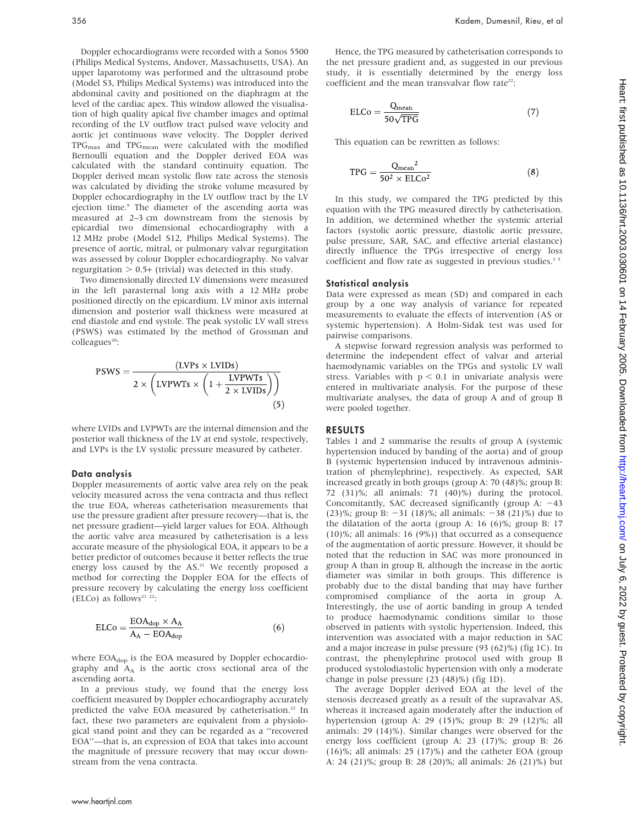Doppler echocardiograms were recorded with a Sonos 5500 (Philips Medical Systems, Andover, Massachusetts, USA). An upper laparotomy was performed and the ultrasound probe (Model S3, Philips Medical Systems) was introduced into the abdominal cavity and positioned on the diaphragm at the level of the cardiac apex. This window allowed the visualisation of high quality apical five chamber images and optimal recording of the LV outflow tract pulsed wave velocity and aortic jet continuous wave velocity. The Doppler derived  $TPG_{\text{max}}$  and  $TPG_{\text{mean}}$  were calculated with the modified Bernoulli equation and the Doppler derived EOA was calculated with the standard continuity equation. The Doppler derived mean systolic flow rate across the stenosis was calculated by dividing the stroke volume measured by Doppler echocardiography in the LV outflow tract by the LV ejection time.<sup>9</sup> The diameter of the ascending aorta was measured at 2–3 cm downstream from the stenosis by epicardial two dimensional echocardiography with a 12 MHz probe (Model S12, Philips Medical Systems). The presence of aortic, mitral, or pulmonary valvar regurgitation was assessed by colour Doppler echocardiography. No valvar regurgitation  $> 0.5+$  (trivial) was detected in this study.

Two dimensionally directed LV dimensions were measured in the left parasternal long axis with a 12 MHz probe positioned directly on the epicardium. LV minor axis internal dimension and posterior wall thickness were measured at end diastole and end systole. The peak systolic LV wall stress (PSWS) was estimated by the method of Grossman and colleagues<sup>20</sup>:

$$
PSWS = \frac{(LVPs \times LVIDs)}{2 \times (LVPWTs \times \left(1 + \frac{LVPWTs}{2 \times LVIDs}\right))}
$$
\n(5)

where LVIDs and LVPWTs are the internal dimension and the posterior wall thickness of the LV at end systole, respectively, and LVPs is the LV systolic pressure measured by catheter.

#### Data analysis

Doppler measurements of aortic valve area rely on the peak velocity measured across the vena contracta and thus reflect the true EOA, whereas catheterisation measurements that use the pressure gradient after pressure recovery—that is, the net pressure gradient—yield larger values for EOA. Although the aortic valve area measured by catheterisation is a less accurate measure of the physiological EOA, it appears to be a better predictor of outcomes because it better reflects the true energy loss caused by the AS.<sup>21</sup> We recently proposed a method for correcting the Doppler EOA for the effects of pressure recovery by calculating the energy loss coefficient (ELCo) as follows<sup>21</sup> <sup>22</sup>:

$$
ELCo = \frac{EOA_{\text{dop}} \times A_{\text{A}}}{A_{\text{A}} - EOA_{\text{dop}}} \tag{6}
$$

where EOA<sub>dop</sub> is the EOA measured by Doppler echocardiography and  $A_A$  is the aortic cross sectional area of the ascending aorta.

In a previous study, we found that the energy loss coefficient measured by Doppler echocardiography accurately predicted the valve EOA measured by catheterisation.<sup>22</sup> In fact, these two parameters are equivalent from a physiological stand point and they can be regarded as a ''recovered EOA''—that is, an expression of EOA that takes into account the magnitude of pressure recovery that may occur downstream from the vena contracta.

Hence, the TPG measured by catheterisation corresponds to the net pressure gradient and, as suggested in our previous study, it is essentially determined by the energy loss coefficient and the mean transvalvar flow rate<sup>22</sup>:

$$
ELCo = \frac{Q_{mean}}{50\sqrt{TPG}}
$$
 (7)

This equation can be rewritten as follows:

$$
TPG = \frac{Q_{\text{mean}}^2}{50^2 \times \text{ELCo}^2}
$$
 (8)

In this study, we compared the TPG predicted by this equation with the TPG measured directly by catheterisation. In addition, we determined whether the systemic arterial factors (systolic aortic pressure, diastolic aortic pressure, pulse pressure, SAR, SAC, and effective arterial elastance) directly influence the TPGs irrespective of energy loss coefficient and flow rate as suggested in previous studies.<sup>35</sup>

#### Statistical analysis

Data were expressed as mean (SD) and compared in each group by a one way analysis of variance for repeated measurements to evaluate the effects of intervention (AS or systemic hypertension). A Holm-Sidak test was used for pairwise comparisons.

A stepwise forward regression analysis was performed to determine the independent effect of valvar and arterial haemodynamic variables on the TPGs and systolic LV wall stress. Variables with  $p < 0.1$  in univariate analysis were entered in multivariate analysis. For the purpose of these multivariate analyses, the data of group A and of group B were pooled together.

# RESULTS

Tables 1 and 2 summarise the results of group A (systemic hypertension induced by banding of the aorta) and of group B (systemic hypertension induced by intravenous administration of phenylephrine), respectively. As expected, SAR increased greatly in both groups (group A: 70 (48)%; group B: 72 (31)%; all animals: 71 (40)%) during the protocol. Concomitantly, SAC decreased significantly (group A:  $-43$ ) (23)%; group B:  $-31$  (18)%; all animals:  $-38$  (21)%) due to the dilatation of the aorta (group A: 16 (6)%; group B: 17 (10)%; all animals: 16 (9%)) that occurred as a consequence of the augmentation of aortic pressure. However, it should be noted that the reduction in SAC was more pronounced in group A than in group B, although the increase in the aortic diameter was similar in both groups. This difference is probably due to the distal banding that may have further compromised compliance of the aorta in group A. Interestingly, the use of aortic banding in group A tended to produce haemodynamic conditions similar to those observed in patients with systolic hypertension. Indeed, this intervention was associated with a major reduction in SAC and a major increase in pulse pressure (93 (62)%) (fig 1C). In contrast, the phenylephrine protocol used with group B produced systolodiastolic hypertension with only a moderate change in pulse pressure (23 (48)%) (fig 1D).

The average Doppler derived EOA at the level of the stenosis decreased greatly as a result of the supravalvar AS, whereas it increased again moderately after the induction of hypertension (group A: 29 (15)%; group B: 29 (12)%; all animals: 29 (14)%). Similar changes were observed for the energy loss coefficient (group A: 23 (17)%; group B: 26 (16)%; all animals: 25 (17)%) and the catheter EOA (group A: 24 (21)%; group B: 28 (20)%; all animals: 26 (21)%) but Heart: first published as 10.1136/hrt.2003.030601 on 14 February 2005. Downloaded from http://heart.bmj.com/ on July 6, 2022 by guest. Protected by copyright on July 6, 2022 by guest. Protected by Guest. Protected by Guest. Prominity published from the Heart: first published as 10.126/hrt.2003.030601 on 14 February 2005. Downloaded by Guest. Protected by Guest. Protected by Gue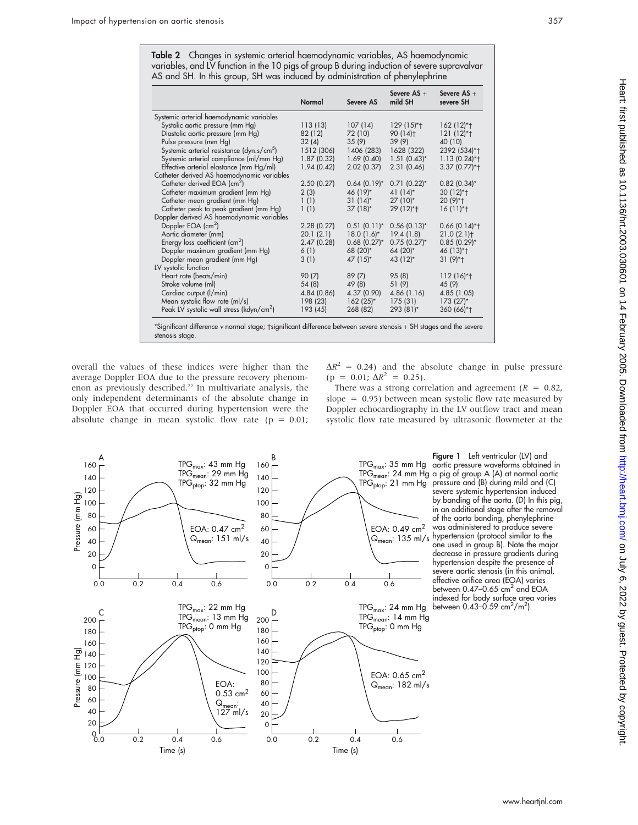Table 2 Changes in systemic arterial haemodynamic variables, AS haemodynamic variables, and LV function in the 10 pigs of group B during induction of severe supravalvar AS and SH. In this group, SH was induced by administration of phenylephrine

|                                                       | Normal      | Severe AS        | Severe $AS +$<br>mild SH   | Severe $AS +$<br>severe SH    |
|-------------------------------------------------------|-------------|------------------|----------------------------|-------------------------------|
| Systemic arterial haemodynamic variables              |             |                  |                            |                               |
| Systolic aortic pressure (mm Hg)                      | 113(13)     | 107(14)          | $129(15)*+$                | $162(12)*+$                   |
| Diastolic aortic pressure (mm Hg)                     | 82 (12)     | 72 (10)          | 90 (14) <sup>+</sup>       | $121(12)*+$                   |
| Pulse pressure (mm Hg)                                | 32(4)       | 35(9)            | 39(9)                      | 40 (10)                       |
| Systemic arterial resistance (dyn.s/cm <sup>5</sup> ) | 1512 (306)  | 1406 (283)       | 1628 (322)                 | 2392 (534)*+                  |
| Systemic arterial compliance (ml/mm Hg)               | 1.87(0.32)  | 1.69(0.40)       | $1.51(0.43)$ *             | $1.13(0.24)*$                 |
| Effective arterial elastance (mm Hg/ml)               | 1.94(0.42)  | 2.02(0.37)       | 2.31(0.46)                 | $3.37(0.77)*+$                |
| Catheter derived AS haemodynamic variables            |             |                  |                            |                               |
| Catheter derived EOA (cm <sup>2</sup> )               | 2.50(0.27)  | $0.64$ (0.19)*   | $0.71$ (0.22)*             | $0.82$ (0.34)*                |
| Catheter maximum gradient (mm Hg)                     | 2(3)        | 46 (19)*         | 41 $(14)^*$                | $30(12)*+$                    |
| Catheter mean gradient (mm Hg)                        | 1(1)        | $31(14)^{*}$     | $27(10)^{*}$               | $20(9)*+$                     |
| Catheter peak to peak gradient (mm Hg)                | 1(1)        | $37(18)^*$       | $29(12)*+$                 | $16(11)*+$                    |
| Doppler derived AS haemodynamic variables             |             |                  |                            |                               |
| Doppler EOA $\rm (cm^2)$                              | 2.28(0.27)  | $0.51(0.11)^{*}$ | $0.56$ (0.13) <sup>*</sup> | $0.66$ $(0.14)*$ <sup>+</sup> |
| Aortic diameter (mm)                                  | 20.1(2.1)   | $18.0(1.6)^{*}$  | 19.4(1.8)                  | 21.0(2.1)                     |
| Energy loss coefficient $\text{cm}^2$ )               | 2.47(0.28)  | $0.68(0.27)^{*}$ | $0.75(0.27)^{*}$           | $0.85(0.29)^{*}$              |
| Doppler maximum gradient (mm Hg)                      | 6(1)        | 68 (20)*         | 64 (20)*                   | 46 (13)*+                     |
| Doppler mean gradient (mm Hg)                         | 3 (1)       | 47 (15)*         | 43 (12)*                   | $31(9)*+$                     |
| LV systolic function                                  |             |                  |                            |                               |
| Heart rate (beats/min)                                | 90(7)       | 89(7)            | 95(8)                      | $112(16)*+$                   |
| Stroke volume (ml)                                    | 54 (8)      | 49 (8)           | 51 (9)                     | 45 (9)                        |
| Cardiac output (I/min)                                | 4.84 (0.86) | 4.37 (0.90)      | 4.86(1.16)                 | 4.85 (1.05)                   |
| Mean systolic flow rate (ml/s)                        | 198 (23)    | $162 (25)^*$     | 175(31)                    | $173(27)^{*}$                 |
| Peak LV systolic wall stress (kdyn/cm <sup>2</sup> )  | 193 (45)    | 268 (82)         | 293 (81)*                  | 360 (66)*+                    |

overall the values of these indices were higher than the average Doppler EOA due to the pressure recovery phenomenon as previously described.<sup>22</sup> In multivariate analysis, the only independent determinants of the absolute change in Doppler EOA that occurred during hypertension were the absolute change in mean systolic flow rate (p = 0.01;  $\Delta R^2$  = 0.24) and the absolute change in pulse pressure  $(p = 0.01; \Delta R^2 = 0.25).$ 

There was a strong correlation and agreement ( $R = 0.82$ , slope  $= 0.95$ ) between mean systolic flow rate measured by Doppler echocardiography in the LV outflow tract and mean systolic flow rate measured by ultrasonic flowmeter at the



TPG<sub>max</sub>: 35 mm Hg aortic pressure waveforms obtained in Figure 1 Left ventricular (LV) and a pig of group A (A) at normal aortic pressure and (B) during mild and (C) severe systemic hypertension induced by banding of the aorta. (D) In this pig, in an additional stage after the removal of the aorta banding, phenylephrine was administered to produce severe hypertension (protocol similar to the one used in group B). Note the major decrease in pressure gradients during hypertension despite the presence of severe aortic stenosis (in this animal, effective orifice area (EOA) varies between  $0.47-0.65$  cm<sup>2</sup> and EOA indexed for body surface area varies between 0.43–0.59 cm<sup>2</sup>/m<sup>2</sup>).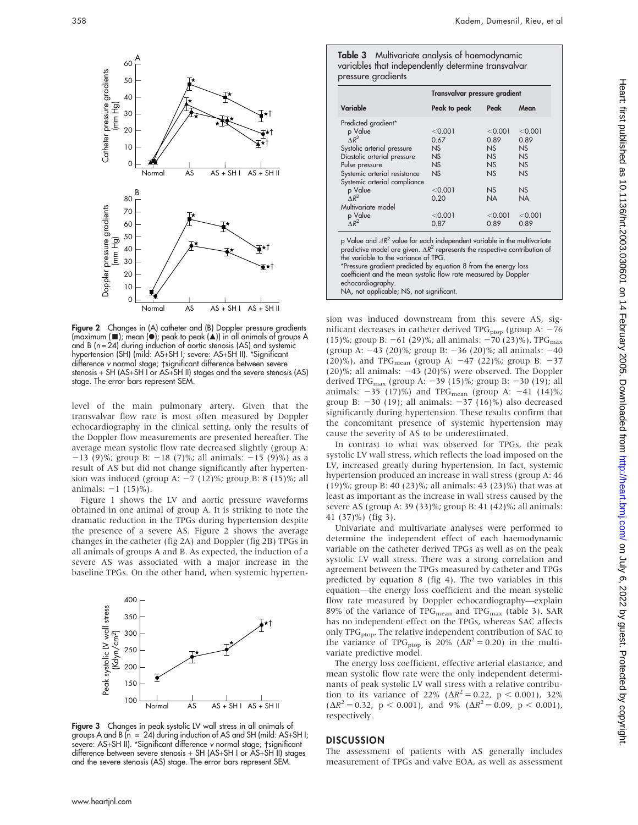

Figure 2 Changes in (A) catheter and (B) Doppler pressure gradients (maximum ( $\blacksquare$ ); mean ( $\spadesuit$ ); peak to peak ( $\spadesuit$ )) in all animals of groups A and B (n = 24) during induction of aortic stenosis (AS) and systemic hypertension (SH) (mild: AS+SH I; severe: AS+SH II). \*Significant difference v normal stage; †significant difference between severe stenosis + SH (AS+SH I or AS+SH II) stages and the severe stenosis (AS) stage. The error bars represent SEM.

level of the main pulmonary artery. Given that the transvalvar flow rate is most often measured by Doppler echocardiography in the clinical setting, only the results of the Doppler flow measurements are presented hereafter. The average mean systolic flow rate decreased slightly (group A:  $-13$  (9)%; group B:  $-18$  (7)%; all animals:  $-15$  (9)%) as a result of AS but did not change significantly after hypertension was induced (group A:  $-7$  (12)%; group B: 8 (15)%; all animals:  $-1$  (15)%).

Figure 1 shows the LV and aortic pressure waveforms obtained in one animal of group A. It is striking to note the dramatic reduction in the TPGs during hypertension despite the presence of a severe AS. Figure 2 shows the average changes in the catheter (fig 2A) and Doppler (fig 2B) TPGs in all animals of groups A and B. As expected, the induction of a severe AS was associated with a major increase in the baseline TPGs. On the other hand, when systemic hyperten-



Figure 3 Changes in peak systolic LV wall stress in all animals of groups A and B ( $n = 24$ ) during induction of AS and SH (mild: AS+SH I; severe: AS+SH II). \*Significant difference v normal stage; †significant difference between severe stenosis + SH (AS+SH I or AS+SH II) stages and the severe stenosis (AS) stage. The error bars represent SEM.

| <b>Table 3</b> Multivariate analysis of haemodynamic |  |  |
|------------------------------------------------------|--|--|
| variables that independently determine transvalvar   |  |  |
| pressure gradients                                   |  |  |

|                              | Transvalvar pressure gradient |           |           |  |
|------------------------------|-------------------------------|-----------|-----------|--|
| Variable                     | Peak to peak                  | Peak      | Mean      |  |
| Predicted gradient*          |                               |           |           |  |
| p Value                      | < 0.001                       | < 0.001   | < 0.001   |  |
| $\Lambda R^2$                | 0.67                          | 0.89      | 0.89      |  |
| Systolic arterial pressure   | <b>NS</b>                     | <b>NS</b> | NS        |  |
| Diastolic arterial pressure  | <b>NS</b>                     | <b>NS</b> | NS        |  |
| Pulse pressure               | <b>NS</b>                     | <b>NS</b> | NS        |  |
| Systemic arterial resistance | <b>NS</b>                     | <b>NS</b> | NS        |  |
| Systemic arterial compliance |                               |           |           |  |
| p Value                      | < 0.001                       | NS        | NS        |  |
| $\Lambda R^2$                | 0.20                          | <b>NA</b> | <b>NA</b> |  |
| Multivariate model           |                               |           |           |  |
| p Value                      | < 0.001                       | < 0.001   | < 0.001   |  |
| $\triangle R^2$              | 0.87                          | 0.89      | 0.89      |  |

p Value and  $\Delta R^2$  value for each independent variable in the multivariate predictive model are given.  $\Delta R^2$  represents the respective contribution of the variable to the variance of TPG.

\*Pressure gradient predicted by equation 8 from the energy loss coefficient and the mean systolic flow rate measured by Doppler echocardiography.

NA, not applicable; NS, not significant.

sion was induced downstream from this severe AS, significant decreases in catheter derived TPG<sub>ptop</sub> (group A:  $-76$ (15)%; group B:  $-61$  (29)%; all animals:  $-70$  (23)%), TPG<sub>max</sub> (group A:  $-43$  (20)%; group B:  $-36$  (20)%; all animals:  $-40$ (20)%), and TPG<sub>mean</sub> (group A:  $-47$  (22)%; group B:  $-37$ (20)%; all animals:  $-43$  (20)%) were observed. The Doppler derived TPG<sub>max</sub> (group A:  $-39$  (15)%; group B:  $-30$  (19); all animals:  $-35$  (17)%) and TPG<sub>mean</sub> (group A:  $-41$  (14)%; group B:  $-30$  (19); all animals:  $-37$  (16)%) also decreased significantly during hypertension. These results confirm that the concomitant presence of systemic hypertension may cause the severity of AS to be underestimated.

In contrast to what was observed for TPGs, the peak systolic LV wall stress, which reflects the load imposed on the LV, increased greatly during hypertension. In fact, systemic hypertension produced an increase in wall stress (group A: 46 (19)%; group B: 40 (23)%; all animals: 43 (23)%) that was at least as important as the increase in wall stress caused by the severe AS (group A: 39 (33)%; group B: 41 (42)%; all animals: 41 (37)%) (fig 3).

Univariate and multivariate analyses were performed to determine the independent effect of each haemodynamic variable on the catheter derived TPGs as well as on the peak systolic LV wall stress. There was a strong correlation and agreement between the TPGs measured by catheter and TPGs predicted by equation 8 (fig 4). The two variables in this equation—the energy loss coefficient and the mean systolic flow rate measured by Doppler echocardiography—explain 89% of the variance of TPG<sub>mean</sub> and TPG<sub>max</sub> (table 3). SAR has no independent effect on the TPGs, whereas SAC affects only TPG<sub>ptop</sub>. The relative independent contribution of SAC to the variance of TPG<sub>ptop</sub> is 20% ( $\Delta R^2 = 0.20$ ) in the multivariate predictive model.

The energy loss coefficient, effective arterial elastance, and mean systolic flow rate were the only independent determinants of peak systolic LV wall stress with a relative contribution to its variance of 22% ( $\Delta R^2 = 0.22$ , p < 0.001), 32%  $(\Delta R^2 = 0.32, p < 0.001)$ , and 9%  $(\Delta R^2 = 0.09, p < 0.001)$ , respectively.

# **DISCUSSION**

The assessment of patients with AS generally includes measurement of TPGs and valve EOA, as well as assessment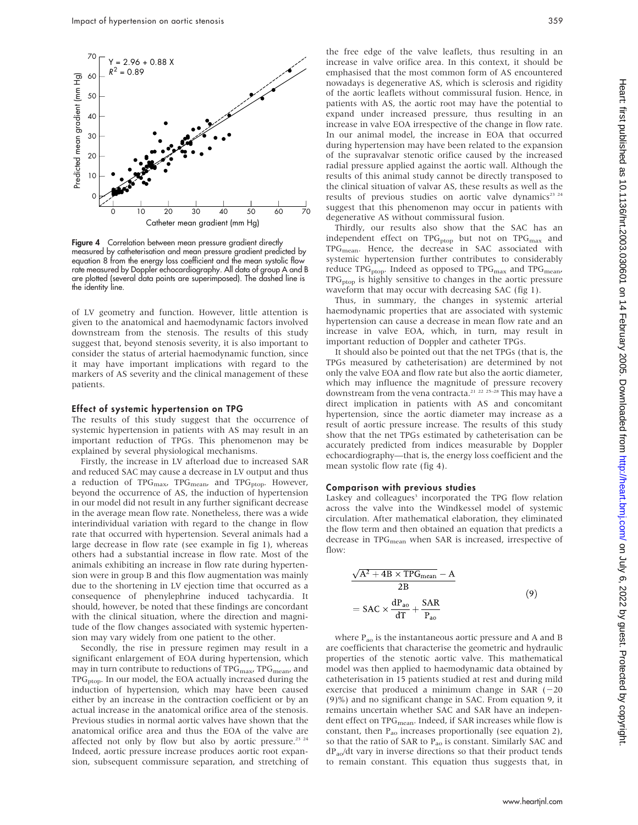

Figure 4 Correlation between mean pressure gradient directly measured by catheterisation and mean pressure gradient predicted by equation 8 from the energy loss coefficient and the mean systolic flow rate measured by Doppler echocardiography. All data of group A and B are plotted (several data points are superimposed). The dashed line is the identity line.

of LV geometry and function. However, little attention is given to the anatomical and haemodynamic factors involved downstream from the stenosis. The results of this study suggest that, beyond stenosis severity, it is also important to consider the status of arterial haemodynamic function, since it may have important implications with regard to the markers of AS severity and the clinical management of these patients.

#### Effect of systemic hypertension on TPG

The results of this study suggest that the occurrence of systemic hypertension in patients with AS may result in an important reduction of TPGs. This phenomenon may be explained by several physiological mechanisms.

Firstly, the increase in LV afterload due to increased SAR and reduced SAC may cause a decrease in LV output and thus a reduction of  $TPG_{\text{max}}$ ,  $TPG_{\text{mean}}$ , and  $TPG_{\text{ptop}}$ . However, beyond the occurrence of AS, the induction of hypertension in our model did not result in any further significant decrease in the average mean flow rate. Nonetheless, there was a wide interindividual variation with regard to the change in flow rate that occurred with hypertension. Several animals had a large decrease in flow rate (see example in fig 1), whereas others had a substantial increase in flow rate. Most of the animals exhibiting an increase in flow rate during hypertension were in group B and this flow augmentation was mainly due to the shortening in LV ejection time that occurred as a consequence of phenylephrine induced tachycardia. It should, however, be noted that these findings are concordant with the clinical situation, where the direction and magnitude of the flow changes associated with systemic hypertension may vary widely from one patient to the other.

Secondly, the rise in pressure regimen may result in a significant enlargement of EOA during hypertension, which may in turn contribute to reductions of  $TPG_{\rm max}$ ,  $TPG_{\rm mean}$ , and TPG<sub>ptop</sub>. In our model, the EOA actually increased during the induction of hypertension, which may have been caused either by an increase in the contraction coefficient or by an actual increase in the anatomical orifice area of the stenosis. Previous studies in normal aortic valves have shown that the anatomical orifice area and thus the EOA of the valve are affected not only by flow but also by aortic pressure.<sup>23 24</sup> Indeed, aortic pressure increase produces aortic root expansion, subsequent commissure separation, and stretching of the free edge of the valve leaflets, thus resulting in an increase in valve orifice area. In this context, it should be emphasised that the most common form of AS encountered nowadays is degenerative AS, which is sclerosis and rigidity of the aortic leaflets without commissural fusion. Hence, in patients with AS, the aortic root may have the potential to expand under increased pressure, thus resulting in an increase in valve EOA irrespective of the change in flow rate. In our animal model, the increase in EOA that occurred during hypertension may have been related to the expansion of the supravalvar stenotic orifice caused by the increased radial pressure applied against the aortic wall. Although the results of this animal study cannot be directly transposed to the clinical situation of valvar AS, these results as well as the results of previous studies on aortic valve dynamics<sup>23 24</sup> suggest that this phenomenon may occur in patients with degenerative AS without commissural fusion.

Thirdly, our results also show that the SAC has an independent effect on  $TPG_{\text{ptop}}$  but not on  $TPG_{\text{max}}$  and TPG<sub>mean</sub>. Hence, the decrease in SAC associated with systemic hypertension further contributes to considerably reduce TPG<sub>ptop</sub>. Indeed as opposed to TPG<sub>max</sub> and TPG<sub>mean</sub>,  $TPG_{ptop}$  is highly sensitive to changes in the aortic pressure waveform that may occur with decreasing SAC (fig 1).

Thus, in summary, the changes in systemic arterial haemodynamic properties that are associated with systemic hypertension can cause a decrease in mean flow rate and an increase in valve EOA, which, in turn, may result in important reduction of Doppler and catheter TPGs.

It should also be pointed out that the net TPGs (that is, the TPGs measured by catheterisation) are determined by not only the valve EOA and flow rate but also the aortic diameter, which may influence the magnitude of pressure recovery downstream from the vena contracta.<sup>21</sup> <sup>22</sup> <sup>25-28</sup> This may have a direct implication in patients with AS and concomitant hypertension, since the aortic diameter may increase as a result of aortic pressure increase. The results of this study show that the net TPGs estimated by catheterisation can be accurately predicted from indices measurable by Doppler echocardiography—that is, the energy loss coefficient and the mean systolic flow rate (fig 4).

#### Comparison with previous studies

Laskey and colleagues<sup>3</sup> incorporated the TPG flow relation across the valve into the Windkessel model of systemic circulation. After mathematical elaboration, they eliminated the flow term and then obtained an equation that predicts a decrease in TPG<sub>mean</sub> when SAR is increased, irrespective of flow:

$$
\frac{\sqrt{A^2 + 4B \times TPG_{mean}} - A}{2B}
$$
  
= SAC  $\times \frac{dP_{ao}}{dT} + \frac{SAR}{P_{ao}}$  (9)

where  $P_{\text{ao}}$  is the instantaneous aortic pressure and A and B are coefficients that characterise the geometric and hydraulic properties of the stenotic aortic valve. This mathematical model was then applied to haemodynamic data obtained by catheterisation in 15 patients studied at rest and during mild exercise that produced a minimum change in SAR  $(-20$ (9)%) and no significant change in SAC. From equation 9, it remains uncertain whether SAC and SAR have an independent effect on  $\rm TPG_{mean}.$  Indeed, if SAR increases while flow is constant, then  $P_{ao}$  increases proportionally (see equation 2), so that the ratio of SAR to  $P_{ao}$  is constant. Similarly SAC and dPao/dt vary in inverse directions so that their product tends to remain constant. This equation thus suggests that, in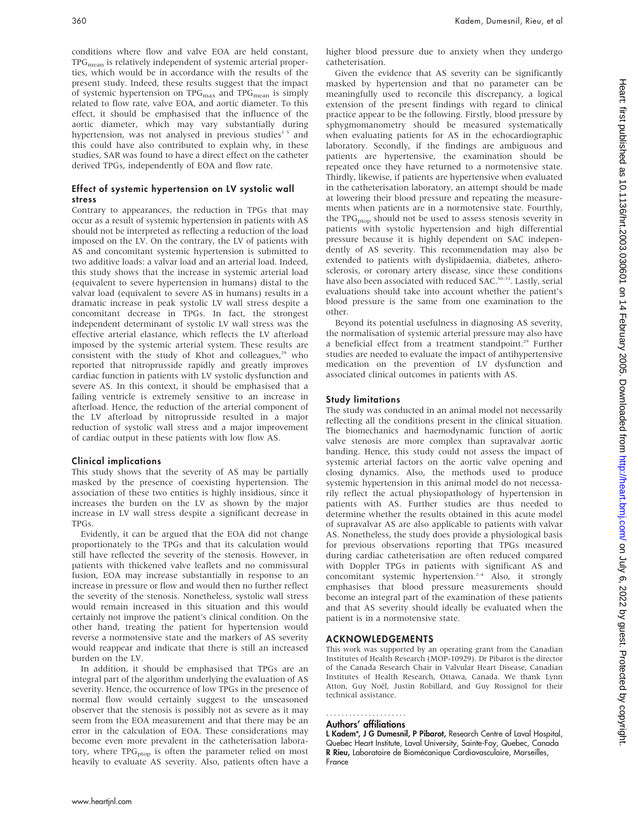conditions where flow and valve EOA are held constant,  $TPG_{mean}$  is relatively independent of systemic arterial properties, which would be in accordance with the results of the present study. Indeed, these results suggest that the impact of systemic hypertension on  $TPG_{\text{max}}$  and  $TPG_{\text{mean}}$  is simply related to flow rate, valve EOA, and aortic diameter. To this effect, it should be emphasised that the influence of the aortic diameter, which may vary substantially during hypertension, was not analysed in previous studies<sup>35</sup> and this could have also contributed to explain why, in these studies, SAR was found to have a direct effect on the catheter derived TPGs, independently of EOA and flow rate.

## Effect of systemic hypertension on LV systolic wall stress

Contrary to appearances, the reduction in TPGs that may occur as a result of systemic hypertension in patients with AS should not be interpreted as reflecting a reduction of the load imposed on the LV. On the contrary, the LV of patients with AS and concomitant systemic hypertension is submitted to two additive loads: a valvar load and an arterial load. Indeed, this study shows that the increase in systemic arterial load (equivalent to severe hypertension in humans) distal to the valvar load (equivalent to severe AS in humans) results in a dramatic increase in peak systolic LV wall stress despite a concomitant decrease in TPGs. In fact, the strongest independent determinant of systolic LV wall stress was the effective arterial elastance, which reflects the LV afterload imposed by the systemic arterial system. These results are consistent with the study of Khot and colleagues,<sup>29</sup> who reported that nitroprusside rapidly and greatly improves cardiac function in patients with LV systolic dysfunction and severe AS. In this context, it should be emphasised that a failing ventricle is extremely sensitive to an increase in afterload. Hence, the reduction of the arterial component of the LV afterload by nitroprusside resulted in a major reduction of systolic wall stress and a major improvement of cardiac output in these patients with low flow AS.

#### Clinical implications

This study shows that the severity of AS may be partially masked by the presence of coexisting hypertension. The association of these two entities is highly insidious, since it increases the burden on the LV as shown by the major increase in LV wall stress despite a significant decrease in TPGs.

Evidently, it can be argued that the EOA did not change proportionately to the TPGs and that its calculation would still have reflected the severity of the stenosis. However, in patients with thickened valve leaflets and no commissural fusion, EOA may increase substantially in response to an increase in pressure or flow and would then no further reflect the severity of the stenosis. Nonetheless, systolic wall stress would remain increased in this situation and this would certainly not improve the patient's clinical condition. On the other hand, treating the patient for hypertension would reverse a normotensive state and the markers of AS severity would reappear and indicate that there is still an increased burden on the LV.

In addition, it should be emphasised that TPGs are an integral part of the algorithm underlying the evaluation of AS severity. Hence, the occurrence of low TPGs in the presence of normal flow would certainly suggest to the unseasoned observer that the stenosis is possibly not as severe as it may seem from the EOA measurement and that there may be an error in the calculation of EOA. These considerations may become even more prevalent in the catheterisation laboratory, where TPG<sub>ptop</sub> is often the parameter relied on most heavily to evaluate AS severity. Also, patients often have a

higher blood pressure due to anxiety when they undergo catheterisation.

Given the evidence that AS severity can be significantly masked by hypertension and that no parameter can be meaningfully used to reconcile this discrepancy, a logical extension of the present findings with regard to clinical practice appear to be the following. Firstly, blood pressure by sphygmomanometry should be measured systematically when evaluating patients for AS in the echocardiographic laboratory. Secondly, if the findings are ambiguous and patients are hypertensive, the examination should be repeated once they have returned to a normotensive state. Thirdly, likewise, if patients are hypertensive when evaluated in the catheterisation laboratory, an attempt should be made at lowering their blood pressure and repeating the measurements when patients are in a normotensive state. Fourthly, the  $TPG<sub>nton</sub>$  should not be used to assess stenosis severity in patients with systolic hypertension and high differential pressure because it is highly dependent on SAC independently of AS severity. This recommendation may also be extended to patients with dyslipidaemia, diabetes, atherosclerosis, or coronary artery disease, since these conditions have also been associated with reduced SAC.<sup>30-33</sup>. Lastly, serial evaluations should take into account whether the patient's blood pressure is the same from one examination to the other.

Beyond its potential usefulness in diagnosing AS severity, the normalisation of systemic arterial pressure may also have a beneficial effect from a treatment standpoint.<sup>29</sup> Further studies are needed to evaluate the impact of antihypertensive medication on the prevention of LV dysfunction and associated clinical outcomes in patients with AS.

#### Study limitations

The study was conducted in an animal model not necessarily reflecting all the conditions present in the clinical situation. The biomechanics and haemodynamic function of aortic valve stenosis are more complex than supravalvar aortic banding. Hence, this study could not assess the impact of systemic arterial factors on the aortic valve opening and closing dynamics. Also, the methods used to produce systemic hypertension in this animal model do not necessarily reflect the actual physiopathology of hypertension in patients with AS. Further studies are thus needed to determine whether the results obtained in this acute model of supravalvar AS are also applicable to patients with valvar AS. Nonetheless, the study does provide a physiological basis for previous observations reporting that TPGs measured during cardiac catheterisation are often reduced compared with Doppler TPGs in patients with significant AS and concomitant systemic hypertension.2–4 Also, it strongly emphasises that blood pressure measurements should become an integral part of the examination of these patients and that AS severity should ideally be evaluated when the patient is in a normotensive state.

#### ACKNOWLEDGEMENTS

This work was supported by an operating grant from the Canadian Institutes of Health Research (MOP-10929). Dr Pibarot is the director of the Canada Research Chair in Valvular Heart Disease, Canadian Institutes of Health Research, Ottawa, Canada. We thank Lynn Atton, Guy Noël, Justin Robillard, and Guy Rossignol for their technical assistance.

# .....................

# Authors' affiliations

L Kadem\*, J G Dumesnil, P Pibarot, Research Centre of Laval Hospital, Quebec Heart Institute, Laval University, Sainte-Foy, Quebec, Canada R Rieu, Laboratoire de Biomécanique Cardiovasculaire, Marseilles, France